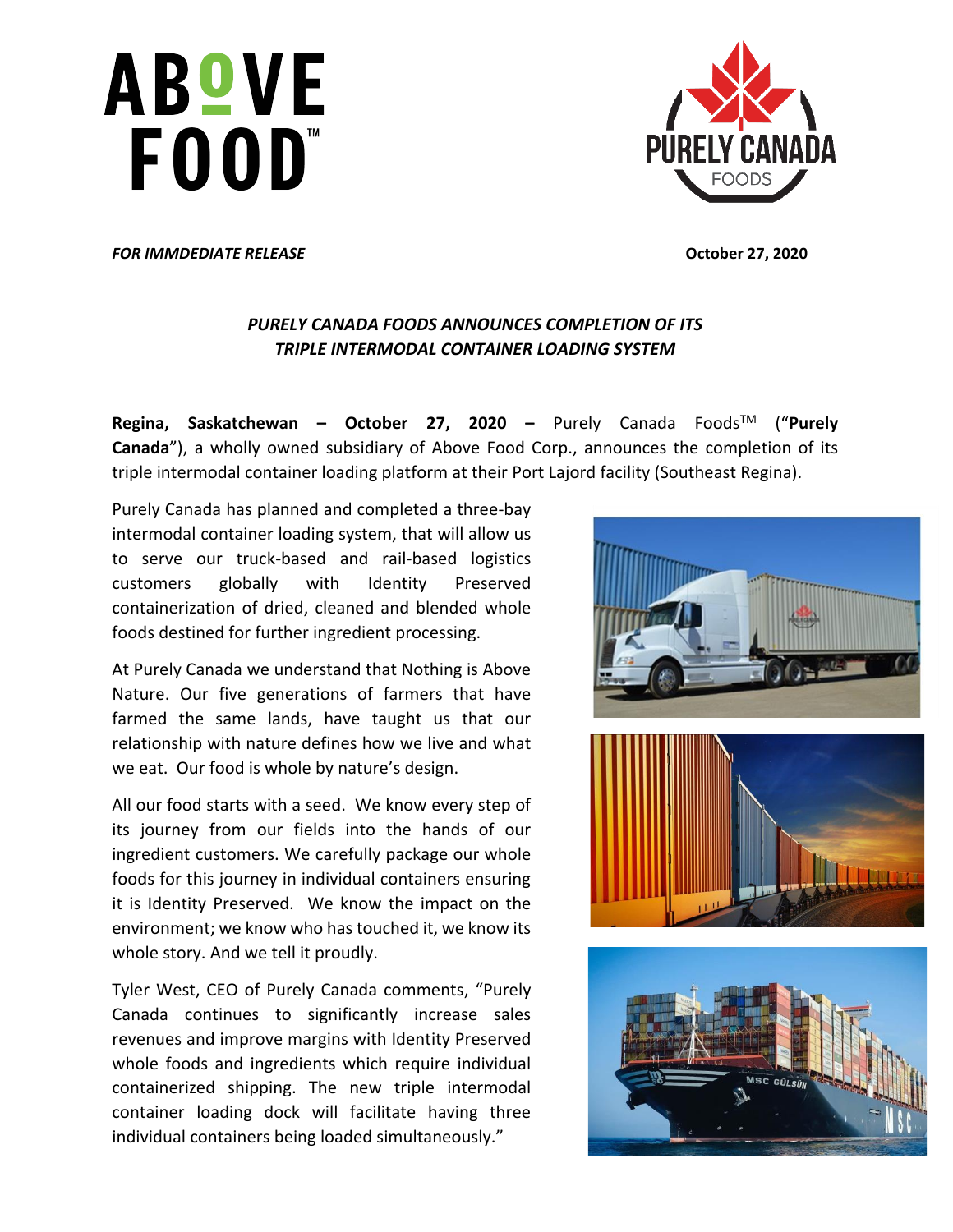# **ABOVE** FOOD"



*FOR IMMDEDIATE RELEASE* **October 27, 2020**

## *PURELY CANADA FOODS ANNOUNCES COMPLETION OF ITS TRIPLE INTERMODAL CONTAINER LOADING SYSTEM*

**Regina, Saskatchewan – October 27, 2020 –** Purely Canada FoodsTM ("**Purely Canada**"), a wholly owned subsidiary of Above Food Corp., announces the completion of its triple intermodal container loading platform at their Port Lajord facility (Southeast Regina).

Purely Canada has planned and completed a three-bay intermodal container loading system, that will allow us to serve our truck-based and rail-based logistics customers globally with Identity Preserved containerization of dried, cleaned and blended whole foods destined for further ingredient processing.

At Purely Canada we understand that Nothing is Above Nature. Our five generations of farmers that have farmed the same lands, have taught us that our relationship with nature defines how we live and what we eat. Our food is whole by nature's design.

All our food starts with a seed. We know every step of its journey from our fields into the hands of our ingredient customers. We carefully package our whole foods for this journey in individual containers ensuring it is Identity Preserved. We know the impact on the environment; we know who has touched it, we know its whole story. And we tell it proudly.

Tyler West, CEO of Purely Canada comments, "Purely Canada continues to significantly increase sales revenues and improve margins with Identity Preserved whole foods and ingredients which require individual containerized shipping. The new triple intermodal container loading dock will facilitate having three individual containers being loaded simultaneously."

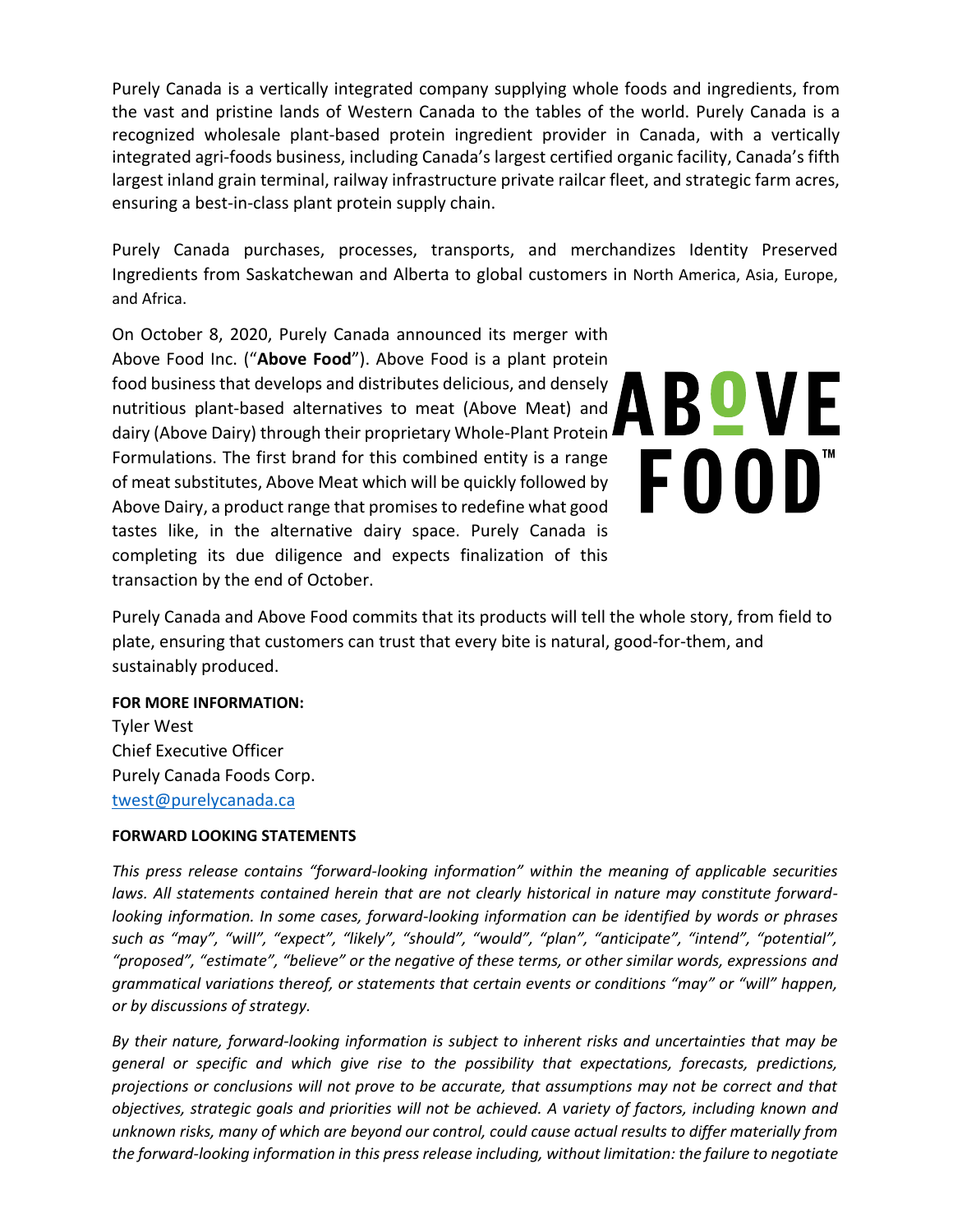Purely Canada is a vertically integrated company supplying whole foods and ingredients, from the vast and pristine lands of Western Canada to the tables of the world. Purely Canada is a recognized wholesale plant-based protein ingredient provider in Canada, with a vertically integrated agri-foods business, including Canada's largest certified organic facility, Canada's fifth largest inland grain terminal, railway infrastructure private railcar fleet, and strategic farm acres, ensuring a best-in-class plant protein supply chain.

Purely Canada purchases, processes, transports, and merchandizes Identity Preserved Ingredients from Saskatchewan and Alberta to global customers in North America, Asia, Europe, and Africa.

On October 8, 2020, Purely Canada announced its merger with Above Food Inc. ("**Above Food**"). Above Food is a plant protein food business that develops and distributes delicious, and densely nutritious plant-based alternatives to meat (Above Meat) and dairy (Above Dairy) through their proprietary Whole-Plant Protein Formulations. The first brand for this combined entity is a range of meat substitutes, Above Meat which will be quickly followed by Above Dairy, a product range that promises to redefine what good tastes like, in the alternative dairy space. Purely Canada is completing its due diligence and expects finalization of this transaction by the end of October.

ABOVE FOOD"

Purely Canada and Above Food commits that its products will tell the whole story, from field to plate, ensuring that customers can trust that every bite is natural, good-for-them, and sustainably produced.

#### **FOR MORE INFORMATION:**

Tyler West Chief Executive Officer Purely Canada Foods Corp. [twest@purelycanada.ca](mailto:twest@purelycanada.ca)

#### **FORWARD LOOKING STATEMENTS**

*This press release contains "forward-looking information" within the meaning of applicable securities laws. All statements contained herein that are not clearly historical in nature may constitute forwardlooking information. In some cases, forward-looking information can be identified by words or phrases such as "may", "will", "expect", "likely", "should", "would", "plan", "anticipate", "intend", "potential", "proposed", "estimate", "believe" or the negative of these terms, or other similar words, expressions and grammatical variations thereof, or statements that certain events or conditions "may" or "will" happen, or by discussions of strategy.*

*By their nature, forward-looking information is subject to inherent risks and uncertainties that may be general or specific and which give rise to the possibility that expectations, forecasts, predictions, projections or conclusions will not prove to be accurate, that assumptions may not be correct and that objectives, strategic goals and priorities will not be achieved. A variety of factors, including known and unknown risks, many of which are beyond our control, could cause actual results to differ materially from the forward-looking information in this press release including, without limitation: the failure to negotiate*